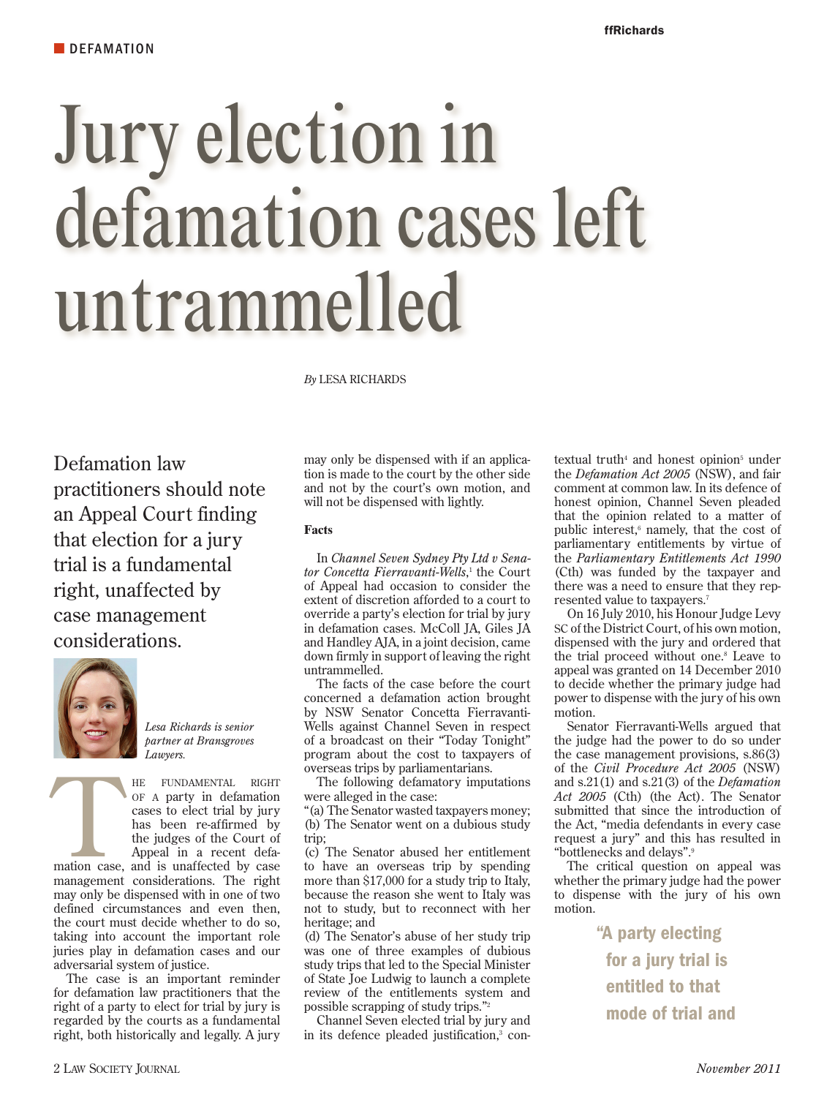# Jury election in defamation cases left untrammelled

*By* LESA RICHARDS

Defamation law practitioners should note an Appeal Court finding that election for a jury trial is a fundamental right, unaffected by case management considerations.



*Lesa Richards is senior partner at Bransgroves Lawyers.*

HE FUNDAMENTAL RIGHT<br>
OF A party in defamation<br>
cases to elect trial by jury<br>
has been re-affirmed by<br>
the judges of the Court of<br>
Appeal in a recent defa-<br>
mation case, and is unaffected by case of a party in defamation cases to elect trial by jury has been re-affirmed by the judges of the Court of Appeal in a recent defa-

management considerations. The right may only be dispensed with in one of two defined circumstances and even then, the court must decide whether to do so, taking into account the important role juries play in defamation cases and our adversarial system of justice.

The case is an important reminder for defamation law practitioners that the right of a party to elect for trial by jury is regarded by the courts as a fundamental right, both historically and legally. A jury may only be dispensed with if an application is made to the court by the other side and not by the court's own motion, and will not be dispensed with lightly.

# **Facts**

In *Channel Seven Sydney Pty Ltd v Senator Concetta Fierravanti-Wells*, 1 the Court of Appeal had occasion to consider the extent of discretion afforded to a court to override a party's election for trial by jury in defamation cases. McColl JA, Giles JA and Handley AJA, in a joint decision, came down firmly in support of leaving the right untrammelled.

The facts of the case before the court concerned a defamation action brought by NSW Senator Concetta Fierravanti-Wells against Channel Seven in respect of a broadcast on their "Today Tonight" program about the cost to taxpayers of overseas trips by parliamentarians.

The following defamatory imputations were alleged in the case:

"(a) The Senator wasted taxpayers money; (b) The Senator went on a dubious study trip;

(c) The Senator abused her entitlement to have an overseas trip by spending more than \$17,000 for a study trip to Italy, because the reason she went to Italy was not to study, but to reconnect with her heritage; and

(d) The Senator's abuse of her study trip was one of three examples of dubious study trips that led to the Special Minister of State Joe Ludwig to launch a complete review of the entitlements system and possible scrapping of study trips."2

Channel Seven elected trial by jury and in its defence pleaded justification,<sup>3</sup> con-

textual truth<sup>4</sup> and honest opinion<sup>5</sup> under the *Defamation Act 2005* (NSW), and fair comment at common law. In its defence of honest opinion, Channel Seven pleaded that the opinion related to a matter of public interest,<sup>6</sup> namely, that the cost of parliamentary entitlements by virtue of the *Parliamentary Entitlements Act 1990* (Cth) was funded by the taxpayer and there was a need to ensure that they represented value to taxpayers.7

On 16 July 2010, his Honour Judge Levy SC of the District Court, of his own motion, dispensed with the jury and ordered that the trial proceed without one.<sup>8</sup> Leave to appeal was granted on 14 December 2010 to decide whether the primary judge had power to dispense with the jury of his own motion.

Senator Fierravanti-Wells argued that the judge had the power to do so under the case management provisions, s.86(3) of the *Civil Procedure Act 2005* (NSW) and s.21(1) and s.21(3) of the *Defamation Act 2005* (Cth) (the Act). The Senator submitted that since the introduction of the Act, "media defendants in every case request a jury" and this has resulted in "bottlenecks and delays".9

The critical question on appeal was whether the primary judge had the power to dispense with the jury of his own motion.

> "A party electing for a jury trial is entitled to that mode of trial and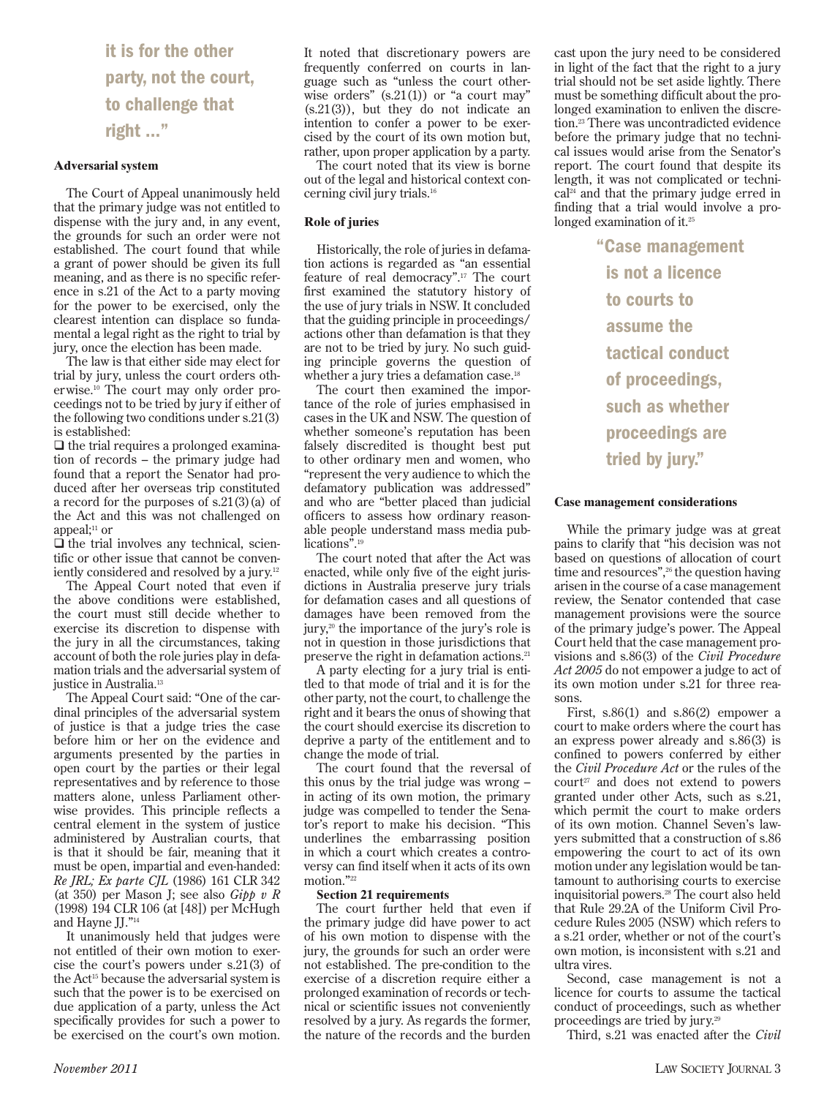it is for the other party, not the court, to challenge that right …"

### **Adversarial system**

The Court of Appeal unanimously held that the primary judge was not entitled to dispense with the jury and, in any event, the grounds for such an order were not established. The court found that while a grant of power should be given its full meaning, and as there is no specific reference in s.21 of the Act to a party moving for the power to be exercised, only the clearest intention can displace so fundamental a legal right as the right to trial by jury, once the election has been made.

The law is that either side may elect for trial by jury, unless the court orders otherwise.10 The court may only order proceedings not to be tried by jury if either of the following two conditions under s.21(3) is established:

 $\Box$  the trial requires a prolonged examination of records – the primary judge had found that a report the Senator had produced after her overseas trip constituted a record for the purposes of s.21(3)(a) of the Act and this was not challenged on appeal: $11$  or

 $\Box$  the trial involves any technical, scientific or other issue that cannot be conveniently considered and resolved by a jury.12

The Appeal Court noted that even if the above conditions were established, the court must still decide whether to exercise its discretion to dispense with the jury in all the circumstances, taking account of both the role juries play in defamation trials and the adversarial system of justice in Australia.<sup>13</sup>

The Appeal Court said: "One of the cardinal principles of the adversarial system of justice is that a judge tries the case before him or her on the evidence and arguments presented by the parties in open court by the parties or their legal representatives and by reference to those matters alone, unless Parliament otherwise provides. This principle reflects a central element in the system of justice administered by Australian courts, that is that it should be fair, meaning that it must be open, impartial and even-handed: *Re JRL; Ex parte CJL* (1986) 161 CLR 342 (at 350) per Mason J; see also *Gipp v R* (1998) 194 CLR 106 (at [48]) per McHugh and Hayne JJ."14

It unanimously held that judges were not entitled of their own motion to exercise the court's powers under s.21(3) of the Act15 because the adversarial system is such that the power is to be exercised on due application of a party, unless the Act specifically provides for such a power to be exercised on the court's own motion.

It noted that discretionary powers are frequently conferred on courts in language such as "unless the court otherwise orders"  $(s.21(1))$  or "a court may" (s.21(3)), but they do not indicate an intention to confer a power to be exercised by the court of its own motion but, rather, upon proper application by a party.

The court noted that its view is borne out of the legal and historical context concerning civil jury trials.16

### **Role of juries**

Historically, the role of juries in defamation actions is regarded as "an essential feature of real democracy".17 The court first examined the statutory history of the use of jury trials in NSW. It concluded that the guiding principle in proceedings/ actions other than defamation is that they are not to be tried by jury. No such guiding principle governs the question of whether a jury tries a defamation case.<sup>18</sup>

The court then examined the importance of the role of juries emphasised in cases in the UK and NSW. The question of whether someone's reputation has been falsely discredited is thought best put to other ordinary men and women, who "represent the very audience to which the defamatory publication was addressed" and who are "better placed than judicial officers to assess how ordinary reasonable people understand mass media publications".19

The court noted that after the Act was enacted, while only five of the eight jurisdictions in Australia preserve jury trials for defamation cases and all questions of damages have been removed from the jury,20 the importance of the jury's role is not in question in those jurisdictions that preserve the right in defamation actions.21

A party electing for a jury trial is entitled to that mode of trial and it is for the other party, not the court, to challenge the right and it bears the onus of showing that the court should exercise its discretion to deprive a party of the entitlement and to change the mode of trial.

The court found that the reversal of this onus by the trial judge was wrong – in acting of its own motion, the primary judge was compelled to tender the Senator's report to make his decision. "This underlines the embarrassing position in which a court which creates a controversy can find itself when it acts of its own motion."22

### **Section 21 requirements**

The court further held that even if the primary judge did have power to act of his own motion to dispense with the jury, the grounds for such an order were not established. The pre-condition to the exercise of a discretion require either a prolonged examination of records or technical or scientific issues not conveniently resolved by a jury. As regards the former, the nature of the records and the burden

cast upon the jury need to be considered in light of the fact that the right to a jury trial should not be set aside lightly. There must be something difficult about the prolonged examination to enliven the discretion.23 There was uncontradicted evidence before the primary judge that no technical issues would arise from the Senator's report. The court found that despite its length, it was not complicated or technical24 and that the primary judge erred in finding that a trial would involve a prolonged examination of it.<sup>25</sup>

> "Case management is not a licence to courts to assume the tactical conduct of proceedings, such as whether proceedings are tried by jury."

### **Case management considerations**

While the primary judge was at great pains to clarify that "his decision was not based on questions of allocation of court time and resources",<sup>26</sup> the question having arisen in the course of a case management review, the Senator contended that case management provisions were the source of the primary judge's power. The Appeal Court held that the case management provisions and s.86(3) of the *Civil Procedure Act 2005* do not empower a judge to act of its own motion under s.21 for three reasons.

First, s.86(1) and s.86(2) empower a court to make orders where the court has an express power already and s.86(3) is confined to powers conferred by either the *Civil Procedure Act* or the rules of the  $court<sup>27</sup>$  and does not extend to powers granted under other Acts, such as s.21, which permit the court to make orders of its own motion. Channel Seven's lawyers submitted that a construction of s.86 empowering the court to act of its own motion under any legislation would be tantamount to authorising courts to exercise inquisitorial powers.28 The court also held that Rule 29.2A of the Uniform Civil Procedure Rules 2005 (NSW) which refers to a s.21 order, whether or not of the court's own motion, is inconsistent with s.21 and ultra vires.

Second, case management is not a licence for courts to assume the tactical conduct of proceedings, such as whether proceedings are tried by jury.29

Third, s.21 was enacted after the *Civil*